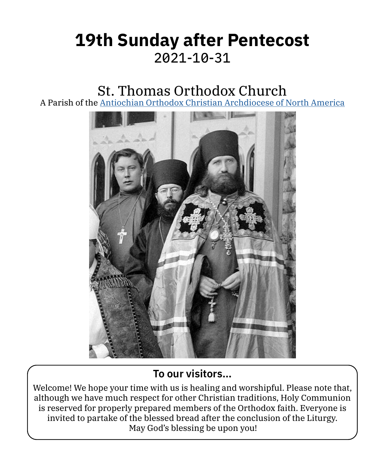# **19th Sunday after Pentecost** 2021‑10‑31

# St. Thomas Orthodox Church

A Parish of the [Antiochian Orthodox Christian Archdiocese of North America](https://www.antiochian.org)



#### **To our visitors…**

Welcome! We hope your time with us is healing and worshipful. Please note that, although we have much respect for other Christian traditions, Holy Communion is reserved for properly prepared members of the Orthodox faith. Everyone is invited to partake of the blessed bread after the conclusion of the Liturgy. May God's blessing be upon you!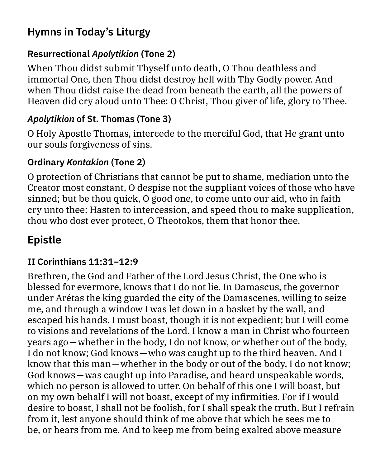## **Hymns in Today's Liturgy**

### **Resurrectional** *Apolytikion* **(Tone 2)**

When Thou didst submit Thyself unto death, O Thou deathless and immortal One, then Thou didst destroy hell with Thy Godly power. And when Thou didst raise the dead from beneath the earth, all the powers of Heaven did cry aloud unto Thee: O Christ, Thou giver of life, glory to Thee.

### *Apolytikion* **of St. Thomas (Tone 3)**

O Holy Apostle Thomas, intercede to the merciful God, that He grant unto our souls forgiveness of sins.

### **Ordinary** *Kontakion* **(Tone 2)**

O protection of Christians that cannot be put to shame, mediation unto the Creator most constant, O despise not the suppliant voices of those who have sinned; but be thou quick, O good one, to come unto our aid, who in faith cry unto thee: Hasten to intercession, and speed thou to make supplication, thou who dost ever protect, O Theotokos, them that honor thee.

# **Epistle**

#### **II Corinthians 11:31–12:9**

Brethren, the God and Father of the Lord Jesus Christ, the One who is blessed for evermore, knows that I do not lie. In Damascus, the governor under Arétas the king guarded the city of the Damascenes, willing to seize me, and through a window I was let down in a basket by the wall, and escaped his hands. I must boast, though it is not expedient; but I will come to visions and revelations of the Lord. I know a man in Christ who fourteen years ago—whether in the body, I do not know, or whether out of the body, I do not know; God knows—who was caught up to the third heaven. And I know that this man—whether in the body or out of the body, I do not know; God knows—was caught up into Paradise, and heard unspeakable words, which no person is allowed to utter. On behalf of this one I will boast, but on my own behalf I will not boast, except of my infirmities. For if I would desire to boast, I shall not be foolish, for I shall speak the truth. But I refrain from it, lest anyone should think of me above that which he sees me to be, or hears from me. And to keep me from being exalted above measure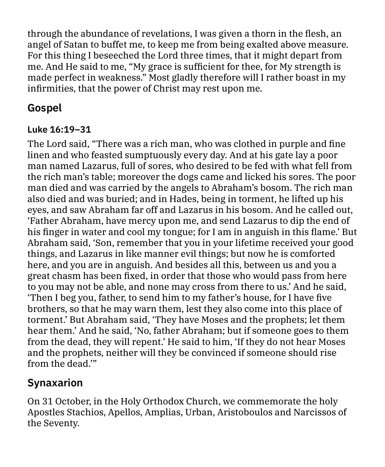through the abundance of revelations, I was given a thorn in the flesh, an angel of Satan to buffet me, to keep me from being exalted above measure. For this thing I beseeched the Lord three times, that it might depart from me. And He said to me, "My grace is sufficient for thee, for My strength is made perfect in weakness." Most gladly therefore will I rather boast in my infirmities, that the power of Christ may rest upon me.

## **Gospel**

#### **Luke 16:19–31**

The Lord said, "There was a rich man, who was clothed in purple and fine linen and who feasted sumptuously every day. And at his gate lay a poor man named Lazarus, full of sores, who desired to be fed with what fell from the rich man's table; moreover the dogs came and licked his sores. The poor man died and was carried by the angels to Abraham's bosom. The rich man also died and was buried; and in Hades, being in torment, he lifted up his eyes, and saw Abraham far off and Lazarus in his bosom. And he called out, 'Father Abraham, have mercy upon me, and send Lazarus to dip the end of his finger in water and cool my tongue; for I am in anguish in this flame.' But Abraham said, 'Son, remember that you in your lifetime received your good things, and Lazarus in like manner evil things; but now he is comforted here, and you are in anguish. And besides all this, between us and you a great chasm has been fixed, in order that those who would pass from here to you may not be able, and none may cross from there to us.' And he said, 'Then I beg you, father, to send him to my father's house, for I have five brothers, so that he may warn them, lest they also come into this place of torment.' But Abraham said, 'They have Moses and the prophets; let them hear them.' And he said, 'No, father Abraham; but if someone goes to them from the dead, they will repent.' He said to him, 'If they do not hear Moses and the prophets, neither will they be convinced if someone should rise from the dead.'"

### **Synaxarion**

On 31 October, in the Holy Orthodox Church, we commemorate the holy Apostles Stachios, Apellos, Amplias, Urban, Aristoboulos and Narcissos of the Seventy.